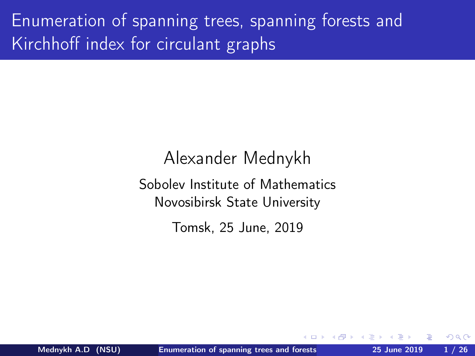<span id="page-0-0"></span>Enumeration of spanning trees, spanning forests and Kirchhoff index for circulant graphs

> Alexander Mednykh Sobolev Institute of Mathematics Novosibirsk State University Tomsk, 25 June, 2019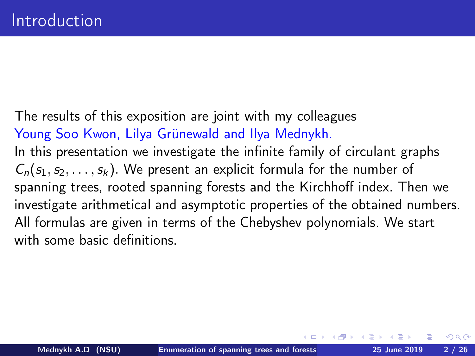The results of this exposition are joint with my colleagues Young Soo Kwon, Lilya Grünewald and Ilya Mednykh. In this presentation we investigate the infinite family of circulant graphs  $C_n(s_1, s_2, \ldots, s_k)$ . We present an explicit formula for the number of spanning trees, rooted spanning forests and the Kirchhoff index. Then we investigate arithmetical and asymptotic properties of the obtained numbers. All formulas are given in terms of the Chebyshev polynomials. We start with some basic definitions.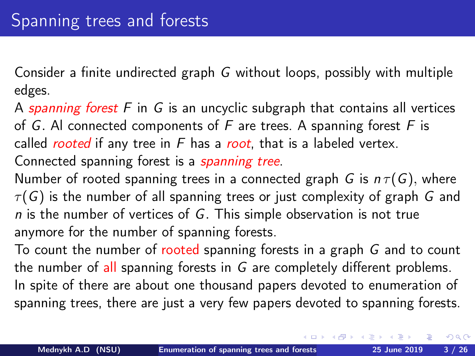Consider a finite undirected graph G without loops, possibly with multiple edges.

A spanning forest  $F$  in  $G$  is an uncyclic subgraph that contains all vertices of G. Al connected components of  $F$  are trees. A spanning forest  $F$  is called *rooted* if any tree in  $F$  has a *root*, that is a labeled vertex. Connected spanning forest is a *spanning tree*.

Number of rooted spanning trees in a connected graph G is  $n \tau(G)$ , where  $\tau(G)$  is the number of all spanning trees or just complexity of graph G and  $n$  is the number of vertices of G. This simple observation is not true anymore for the number of spanning forests.

To count the number of rooted spanning forests in a graph G and to count the number of all spanning forests in G are completely different problems. In spite of there are about one thousand papers devoted to enumeration of spanning trees, there are just a very few papers devoted to spanning forests.

 $\Omega$ 

(ロ) (個) (差) (差)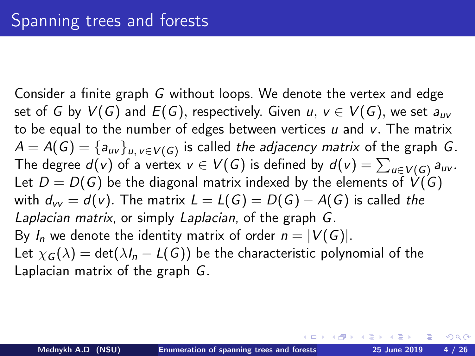Consider a finite graph G without loops. We denote the vertex and edge set of G by  $V(G)$  and  $E(G)$ , respectively. Given  $u, v \in V(G)$ , we set  $a_{uv}$ to be equal to the number of edges between vertices  $u$  and  $v$ . The matrix  $\mathcal{A}=\mathcal{A}(\mathcal{G})=\{a_{u v}\}_{u,\,v\in V(\mathcal{G})}$  is called *the adjacency matrix* of the graph  $\mathcal{G}.$ The degree  $d(v)$  of a vertex  $v\in V(G)$  is defined by  $d(v)=\sum_{u\in V(G)} a_{uv}.$ Let  $D = D(G)$  be the diagonal matrix indexed by the elements of  $V(G)$ with  $d_w = d(v)$ . The matrix  $L = L(G) = D(G) - A(G)$  is called the Laplacian matrix, or simply Laplacian, of the graph G. By  $I_n$  we denote the identity matrix of order  $n = |V(G)|$ . Let  $\chi_G(\lambda) = \det(\lambda I_n - L(G))$  be the characteristic polynomial of the Laplacian matrix of the graph G.

つくい

**←ロト → 何ト → ヨト → ヨト**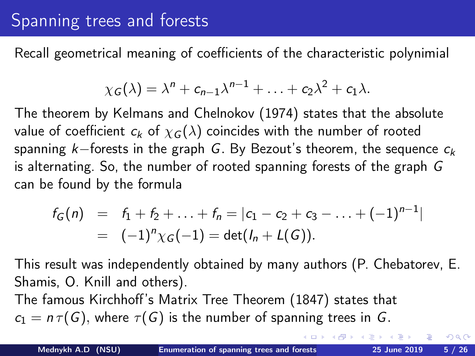# Spanning trees and forests

Recall geometrical meaning of coefficients of the characteristic polynimial

$$
\chi_G(\lambda)=\lambda^n+c_{n-1}\lambda^{n-1}+\ldots+c_2\lambda^2+c_1\lambda.
$$

The theorem by Kelmans and Chelnokov (1974) states that the absolute value of coefficient  $c_k$  of  $\chi_G(\lambda)$  coincides with the number of rooted spanning k–forests in the graph G. By Bezout's theorem, the sequence  $c_k$ is alternating. So, the number of rooted spanning forests of the graph G can be found by the formula

$$
f_G(n) = f_1 + f_2 + \ldots + f_n = |c_1 - c_2 + c_3 - \ldots + (-1)^{n-1}|
$$
  
= (-1)<sup>n</sup> \chi\_G(-1) = det(*h*<sub>n</sub> + L(G)).

This result was independently obtained by many authors (P. Chebatorev, E. Shamis, O. Knill and others).

The famous Kirchhoff's Matrix Tree Theorem (1847) states that  $c_1 = n \tau(G)$ , where  $\tau(G)$  is the number of spanning trees in G.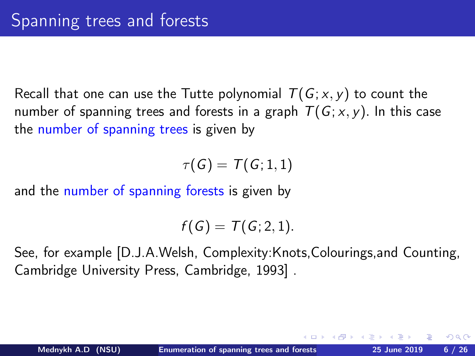Recall that one can use the Tutte polynomial  $T(G; x, y)$  to count the number of spanning trees and forests in a graph  $T(G; x, y)$ . In this case the number of spanning trees is given by

 $\tau(G) = \tau(G; 1, 1)$ 

and the number of spanning forests is given by

 $f(G) = T(G; 2, 1).$ 

See, for example [D.J.A.Welsh, Complexity:Knots,Colourings,and Counting, Cambridge University Press, Cambridge, 1993] .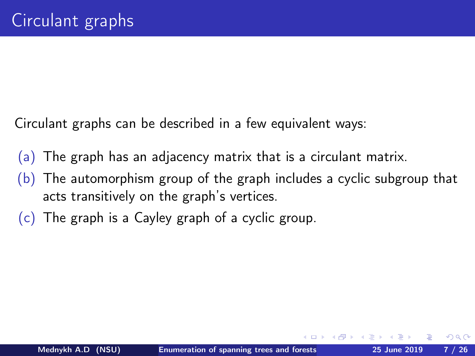Circulant graphs can be described in a few equivalent ways:

- (a) The graph has an adjacency matrix that is a circulant matrix.
- (b) The automorphism group of the graph includes a cyclic subgroup that acts transitively on the graph's vertices.
- (c) The graph is a Cayley graph of a cyclic group.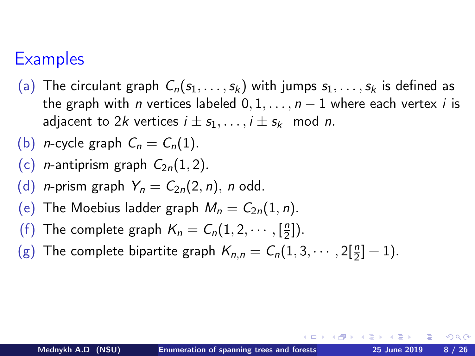## **Examples**

(a) The circulant graph  $C_n(s_1,\ldots,s_k)$  with jumps  $s_1,\ldots,s_k$  is defined as the graph with *n* vertices labeled  $0, 1, \ldots, n - 1$  where each vertex *i* is adjacent to 2k vertices  $i \pm s_1, \ldots, i \pm s_k \mod n$ .

(b) *n*-cycle graph 
$$
C_n = C_n(1)
$$
.

- (c) *n*-antiprism graph  $C_{2n}(1, 2)$ .
- (d) *n*-prism graph  $Y_n = C_{2n}(2, n)$ , *n* odd.
- (e) The Moebius ladder graph  $M_n = C_{2n}(1, n)$ .
- (f) The complete graph  $K_n = C_n(1, 2, \dots, \lceil \frac{n}{2} \rceil)$  $\frac{n}{2}$ ).
- (g) The complete bipartite graph  $K_{n,n} = C_n(1, 3, \dots, 2[\frac{n}{2}]+1)$ .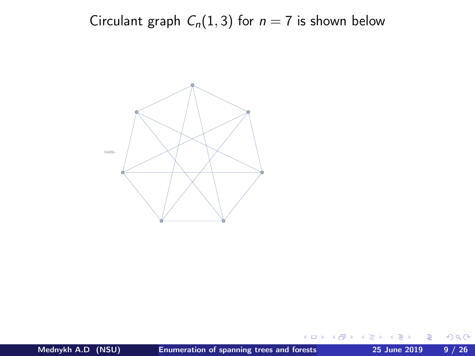Circulant graph  $C_n(1,3)$  for  $n = 7$  is shown below



4日)

 $299$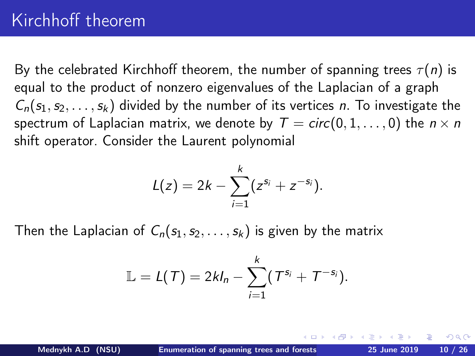By the celebrated Kirchhoff theorem, the number of spanning trees  $\tau(n)$  is equal to the product of nonzero eigenvalues of the Laplacian of a graph  $C_n(s_1, s_2, \ldots, s_k)$  divided by the number of its vertices n. To investigate the spectrum of Laplacian matrix, we denote by  $T = circ(0, 1, \ldots, 0)$  the  $n \times n$ shift operator. Consider the Laurent polynomial

$$
L(z) = 2k - \sum_{i=1}^{k} (z^{s_i} + z^{-s_i}).
$$

Then the Laplacian of  $C_n(s_1, s_2, \ldots, s_k)$  is given by the matrix

$$
\mathbb{L}=L(\mathcal{T})=2kl_n-\sum_{i=1}^k(\mathcal{T}^{s_i}+\mathcal{T}^{-s_i}).
$$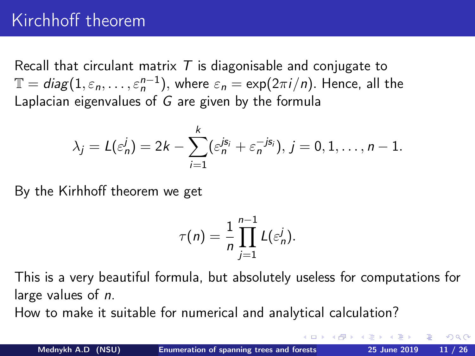# Kirchhoff theorem

Recall that circulant matrix  $T$  is diagonisable and conjugate to  $\mathbb{T}=diag(1,\varepsilon_n,\ldots,\varepsilon_n^{n-1}),$  where  $\varepsilon_n=\exp(2\pi i/n).$  Hence, all the Laplacian eigenvalues of G are given by the formula

$$
\lambda_j = L(\varepsilon_n^j) = 2k - \sum_{i=1}^k (\varepsilon_n^{js_i} + \varepsilon_n^{-js_i}), j = 0, 1, \ldots, n-1.
$$

By the Kirhhoff theorem we get

$$
\tau(n) = \frac{1}{n} \prod_{j=1}^{n-1} L(\varepsilon_n^j).
$$

This is a very beautiful formula, but absolutely useless for computations for large values of n.

How to make it suitable for numerical and analytical calculation?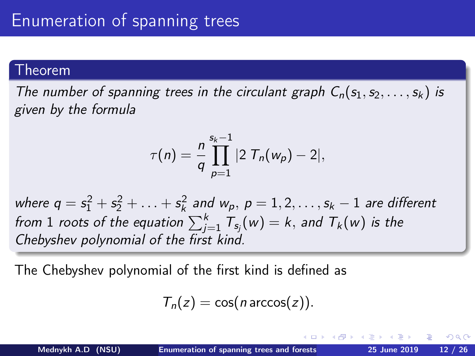### Theorem

The number of spanning trees in the circulant graph  $C_n(s_1, s_2, \ldots, s_k)$  is given by the formula

$$
\tau(n) = \frac{n}{q} \prod_{p=1}^{s_k-1} |2 \; T_n(w_p) - 2|,
$$

where  $q = s_1^2 + s_2^2 + \ldots + s_k^2$  and  $w_p$ ,  $p = 1, 2, \ldots, s_k - 1$  are different from  $1$  roots of the equation  $\sum_{j=1}^k \mathcal{T}_{\mathsf{s}_j}(w) = k,$  and  $\mathcal{T}_{k}(w)$  is the Chebyshev polynomial of the first kind.

The Chebyshev polynomial of the first kind is defined as

$$
T_n(z) = \cos(n \arccos(z)).
$$

つのへ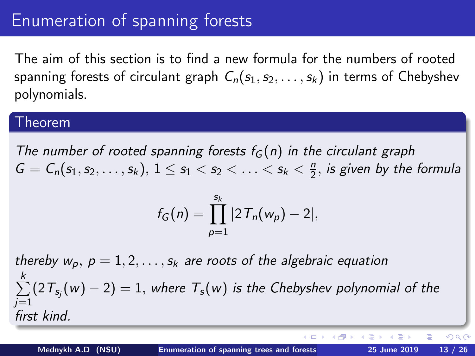## Enumeration of spanning forests

The aim of this section is to find a new formula for the numbers of rooted spanning forests of circulant graph  $C_n(s_1, s_2, \ldots, s_k)$  in terms of Chebyshev polynomials.

### Theorem

The number of rooted spanning forests  $f_G(n)$  in the circulant graph  $G = C_n(s_1, s_2, \ldots, s_k), 1 \le s_1 < s_2 < \ldots < s_k < \frac{n}{2}$  $\frac{n}{2}$ , is given by the formula

$$
f_G(n) = \prod_{p=1}^{s_k} |2T_n(w_p) - 2|,
$$

thereby  $w_p$ ,  $p = 1, 2, \ldots, s_k$  are roots of the algebraic equation  $\sum_{k=1}^{k}$  $i=1$  $(2\, T_{s_j}(w) - 2) = 1,$  where  $\, T_{s}(w)$  is the Chebyshev polynomial of the first kind.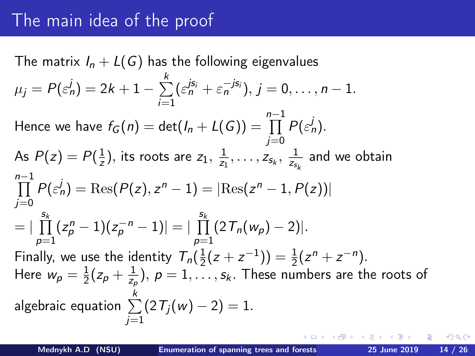# The main idea of the proof

The matrix  $I_n + L(G)$  has the following eigenvalues  $\mu_j = P(\varepsilon_n^j) = 2k+1-\sum_{}^k$  $i=1$  $(\varepsilon_n^{js_i}+\varepsilon_n^{-js_i}), j=0,\ldots,n-1.$ Hence we have  $f_G(n) = \det (I_n + L(G)) = \prod^{n-1}$ j=0  $P(\epsilon_n^j)$ . As  $P(z) = P(\frac{1}{z})$  $(\frac{1}{z}),$  its roots are  $z_1,\,\frac{1}{z_1}$  $\frac{1}{z_1},\ldots,z_{\mathsf{s}_k},\ \frac{1}{z_{\mathsf{s}_j}}$  $\frac{1}{z_{s_k}}$  and we obtain  $\prod^{n-1} P(\varepsilon_n^j) = \text{Res}(P(z), z^n - 1) = |\text{Res}(z^n - 1, P(z))|$  $i=0$  $=$   $\left| \right| \prod^{s_k}$  $p=1$  $(z_p^n-1)(z_p^{-n}-1)| = |\begin{array}{c} s_k \ \prod \end{array}$  $p=1$  $(2T_n(w_p)-2)$ |. Finally, we use the identity  $T_n(\frac{1}{2}(z+z^{-1})) = \frac{1}{2}(z^n + z^{-n}).$ Here  $w_p = \frac{1}{2}(z_p + \frac{1}{z_p}), p = 1, ..., s_k$ . These number  $\frac{1}{2}(z_p + \frac{1}{z_p}$  $(\frac{1}{z_\rho}),\ \rho=1,\ldots,s_k.$  These numbers are the roots of algebraic equation  $\sum\limits_{}^k (2\, T_j(w) - 2) = 1.$  $i=1$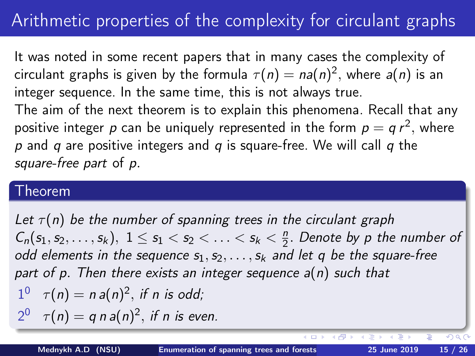# Arithmetic properties of the complexity for circulant graphs

It was noted in some recent papers that in many cases the complexity of circulant graphs is given by the formula  $\tau(n)=$   $na(n)^2,$  where  $a(n)$  is an integer sequence. In the same time, this is not always true. The aim of the next theorem is to explain this phenomena. Recall that any positive integer  $\rho$  can be uniquely represented in the form  $\rho = q \, r^2,$  where  $p$  and  $q$  are positive integers and  $q$  is square-free. We will call  $q$  the square-free part of p.

### Theorem

Let  $\tau(n)$  be the number of spanning trees in the circulant graph  $C_n(s_1, s_2, \ldots, s_k), 1 \le s_1 < s_2 < \ldots < s_k < \frac{n}{2}$  $\frac{n}{2}$ . Denote by p the number of odd elements in the sequence  $s_1, s_2, \ldots, s_k$  and let q be the square-free part of p. Then there exists an integer sequence  $a(n)$  such that  $1^0$   $\tau(n) = n a(n)^2$ , if n is odd;  $2^0$   $\tau(n) = q n a(n)^2$ , if n is even.

4 假 ▶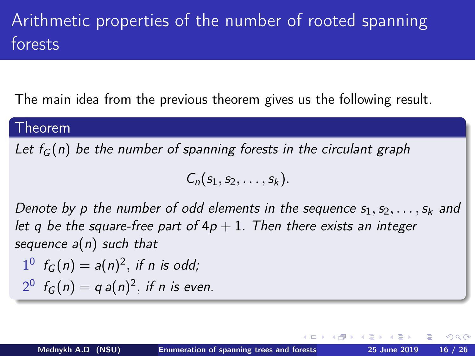# Arithmetic properties of the number of rooted spanning forests

The main idea from the previous theorem gives us the following result.

### Theorem

Let  $f_G(n)$  be the number of spanning forests in the circulant graph

$$
C_n(s_1,s_2,\ldots,s_k).
$$

Denote by p the number of odd elements in the sequence  $s_1, s_2, \ldots, s_k$  and let q be the square-free part of  $4p + 1$ . Then there exists an integer sequence  $a(n)$  such that

$$
1^0 \t f_G(n) = a(n)^2, \text{ if } n \text{ is odd};
$$
  

$$
2^0 \t f_G(n) = q a(n)^2, \text{ if } n \text{ is even}.
$$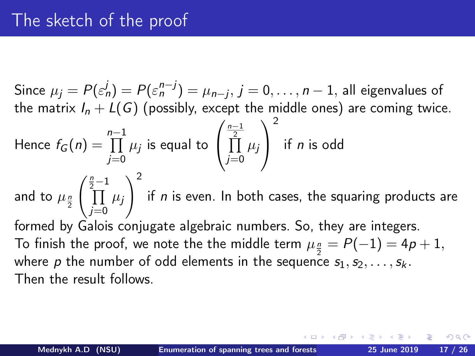Since  $\mu_j = P(\varepsilon_n^j) = P(\varepsilon_n^{n-j}) = \mu_{n-j}, \, j=0,\ldots,n-1,$  all eigenvalues of the matrix  $I_n+{\mathcal L}(G)$  (possibly, except the middle ones) are coming twice.

Hence 
$$
f_G(n) = \prod_{j=0}^{n-1} \mu_j
$$
 is equal to  $\left(\prod_{j=0}^{\frac{n-1}{2}} \mu_j\right)^2$  if *n* is odd

and to  $\mu_{\frac{n}{2}}$  $\int_{1}^{\frac{n}{2}-1}$ j=0  $\mu_j$  $\setminus^2$ if  $\emph{n}$  is even. In both cases, the squaring products are formed by Galois conjugate algebraic numbers. So, they are integers. To finish the proof, we note the the middle term  $\mu_{\frac{n}{2}}=P(-1)=4\rho+1,$ where  $\rho$  the number of odd elements in the sequence  $s_1,s_2,\ldots,s_k$ . Then the result follows.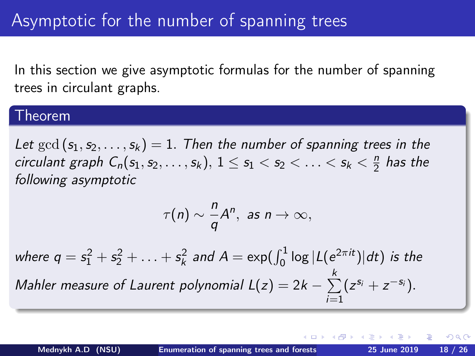In this section we give asymptotic formulas for the number of spanning trees in circulant graphs.

### **Theorem**

Let  $gcd(s_1, s_2, \ldots, s_k) = 1$ . Then the number of spanning trees in the circulant graph  $C_n(s_1,s_2,\ldots,s_k),\, 1\leq s_1 < s_2 < \ldots < s_k < \frac{n}{2}$  $rac{n}{2}$  has the following asymptotic

$$
\tau(n)\sim \frac{n}{q}A^n, \text{ as } n\to\infty,
$$

where  $q=s_1^2+s_2^2+\ldots+s_k^2$  and  $A=\exp(\int_0^1\log|L(e^{2\pi it})|dt)$  is the Mahler measure of Laurent polynomial L(z) = 2k  $\sum^{k}$  $i=1$  $(z^{s_i}+z^{-s_i}).$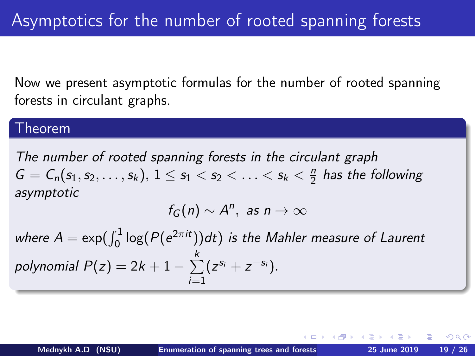<span id="page-18-0"></span>Now we present asymptotic formulas for the number of rooted spanning forests in circulant graphs.

### Theorem

The number of rooted spanning forests in the circulant graph  $G = C_n(s_1, s_2, \ldots, s_k), 1 \le s_1 < s_2 < \ldots < s_k < \frac{n}{2}$  $\frac{n}{2}$  has the following asymptotic

$$
f_G(n) \sim A^n, \text{ as } n \to \infty
$$

where  $A = \exp(\int_0^1 \log(P(e^{2\pi i t})) dt)$  is the Mahler measure of Laurent polynomial  $P(z)=2k+1-\sum\limits_{k=1}^{k}$  $i=1$  $(z^{s_i}+z^{-s_i}).$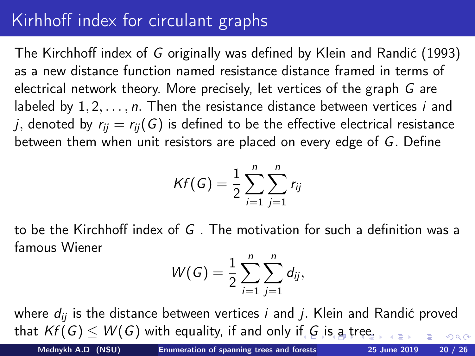# <span id="page-19-0"></span>Kirhhoff index for circulant graphs

The Kirchhoff index of G originally was defined by Klein and Randić (1993) as a new distance function named resistance distance framed in terms of electrical network theory. More precisely, let vertices of the graph G are labeled by  $1, 2, \ldots, n$ . Then the resistance distance between vertices i and j, denoted by  $r_{ii} = r_{ii}(G)$  is defined to be the effective electrical resistance between them when unit resistors are placed on every edge of G. Define

$$
Kf(G)=\frac{1}{2}\sum_{i=1}^n\sum_{j=1}^n r_{ij}
$$

to be the Kirchhoff index of G . The motivation for such a definition was a famous Wiener

$$
W(G) = \frac{1}{2} \sum_{i=1}^{n} \sum_{j=1}^{n} d_{ij},
$$

where  $d_{ii}$  is the distance between vertices *i* and *j*. Klein and Randić proved that  $Kf(G) \leq W(G)$  $Kf(G) \leq W(G)$  $Kf(G) \leq W(G)$  w[i](#page-20-0)th equality, if and only if G i[s](#page-18-0) [a](#page-19-0) [tr](#page-20-0)[ee](#page-0-0)[.](#page-25-0)

Mednykh A.D (NSU) [Enumeration of spanning trees and forests](#page-0-0) 25 June 2019 20 / 26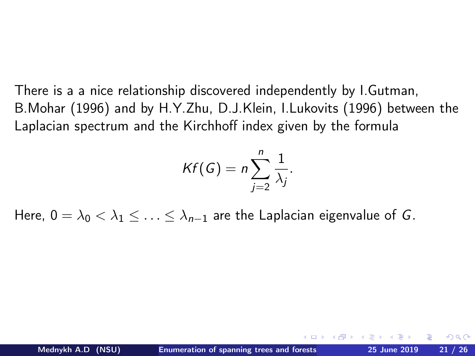<span id="page-20-0"></span>There is a a nice relationship discovered independently by I.Gutman, B.Mohar (1996) and by H.Y.Zhu, D.J.Klein, I.Lukovits (1996) between the Laplacian spectrum and the Kirchhoff index given by the formula

$$
Kf(G)=n\sum_{j=2}^n\frac{1}{\lambda_j}.
$$

Here,  $0 = \lambda_0 < \lambda_1 < \ldots < \lambda_{n-1}$  are the Laplacian eigenvalue of G.

つのへ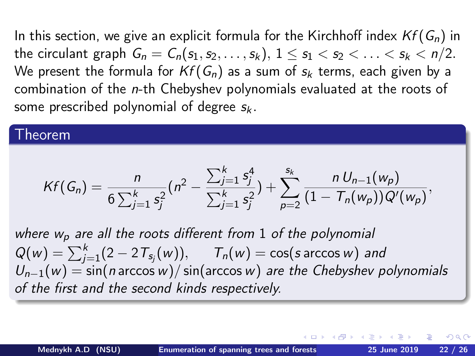In this section, we give an explicit formula for the Kirchhoff index  $Kf(G_n)$  in the circulant graph  $G_n = C_n(s_1, s_2, \ldots, s_k), 1 \le s_1 < s_2 < \ldots < s_k < n/2$ . We present the formula for  $Kf(G_n)$  as a sum of  $s_k$  terms, each given by a combination of the n-th Chebyshev polynomials evaluated at the roots of some prescribed polynomial of degree  $s_k$ .

#### Theorem

$$
Kf(G_n) = \frac{n}{6\sum_{j=1}^k s_j^2} (n^2 - \frac{\sum_{j=1}^k s_j^4}{\sum_{j=1}^k s_j^2}) + \sum_{p=2}^{s_k} \frac{n U_{n-1}(w_p)}{(1 - T_n(w_p))Q'(w_p)},
$$

where  $w_p$  are all the roots different from 1 of the polynomial  $Q(w) = \sum_{j=1}^{k} (2 - 2 \, T_{\mathsf{s}_j}(w)), \quad T_n(w) = \cos(s \arccos w)$  and  $U_{n-1}(w) = \frac{1}{2}$  sin(n arccos w)/sin(arccos w) are the Chebyshev polynomials of the first and the second kinds respectively.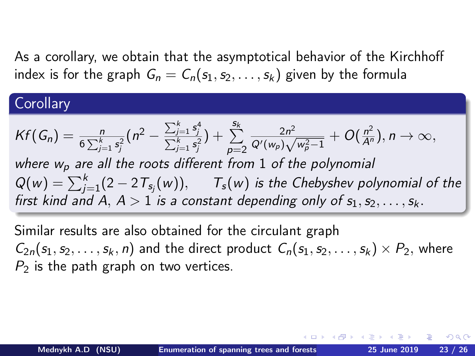As a corollary, we obtain that the asymptotical behavior of the Kirchhoff index is for the graph  $G_n = C_n(s_1, s_2, \ldots, s_k)$  given by the formula

### **Corollary**

$$
Kf(G_n) = \frac{n}{6\sum_{j=1}^k s_j^2} (n^2 - \frac{\sum_{j=1}^k s_j^4}{\sum_{j=1}^k s_j^2}) + \sum_{p=2}^{S_k} \frac{2n^2}{Q'(w_p)\sqrt{w_p^2 - 1}} + O(\frac{n^2}{A^n}), n \to \infty,
$$
  
where  $w_p$  are all the roots different from 1 of the polynomial  
 $Q(w) = \sum_{j=1}^k (2 - 2T_{s_j}(w)), \quad T_s(w)$  is the Chebyshev polynomial of the  
first kind and A,  $A > 1$  is a constant depending only of  $s_1, s_2, \ldots, s_k$ .

Similar results are also obtained for the circulant graph  $C_{2n}(s_1, s_2, \ldots, s_k, n)$  and the direct product  $C_n(s_1, s_2, \ldots, s_k) \times P_2$ , where  $P<sub>2</sub>$  is the path graph on two vertices.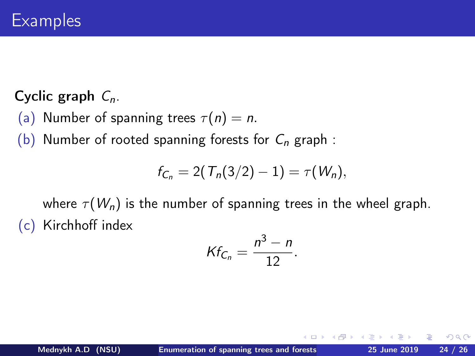### Cyclic graph  $C_n$ .

- (a) Number of spanning trees  $\tau(n) = n$ .
- (b) Number of rooted spanning forests for  $C_n$  graph :

$$
f_{C_n} = 2(T_n(3/2)-1) = \tau(W_n),
$$

where  $\tau(W_n)$  is the number of spanning trees in the wheel graph. (c) Kirchhoff index

$$
Kf_{C_n}=\frac{n^3-n}{12}.
$$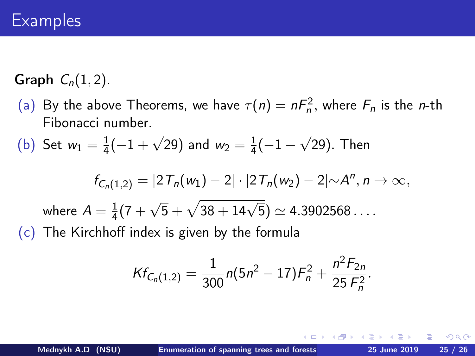Graph  $C_n(1, 2)$ .

(a) By the above Theorems, we have  $\tau(n) = nF_n^2$ , where  $F_n$  is the *n*-th Fibonacci number.

(b) Set 
$$
w_1 = \frac{1}{4}(-1 + \sqrt{29})
$$
 and  $w_2 = \frac{1}{4}(-1 - \sqrt{29})$ . Then

$$
f_{C_n(1,2)} = |2T_n(w_1) - 2| \cdot |2T_n(w_2) - 2| \sim A^n, n \to \infty,
$$

where 
$$
A = \frac{1}{4}(7 + \sqrt{5} + \sqrt{38 + 14\sqrt{5}}) \simeq 4.3902568...
$$

(c) The Kirchhoff index is given by the formula

$$
Kf_{C_n(1,2)}=\frac{1}{300}n(5n^2-17)F_n^2+\frac{n^2F_{2n}}{25F_n^2}.
$$

 $+$